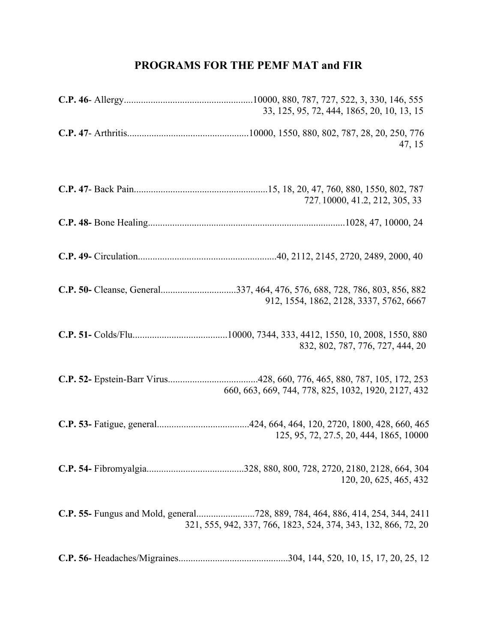## **PROGRAMS FOR THE PEMF MAT and FIR**

| 33, 125, 95, 72, 444, 1865, 20, 10, 13, 15                     |
|----------------------------------------------------------------|
| 47, 15                                                         |
| 727, 10000, 41.2, 212, 305, 33                                 |
|                                                                |
|                                                                |
| 912, 1554, 1862, 2128, 3337, 5762, 6667                        |
| 832, 802, 787, 776, 727, 444, 20                               |
| 660, 663, 669, 744, 778, 825, 1032, 1920, 2127, 432            |
| 125, 95, 72, 27.5, 20, 444, 1865, 10000                        |
| 120, 20, 625, 465, 432                                         |
| 321, 555, 942, 337, 766, 1823, 524, 374, 343, 132, 866, 72, 20 |
|                                                                |